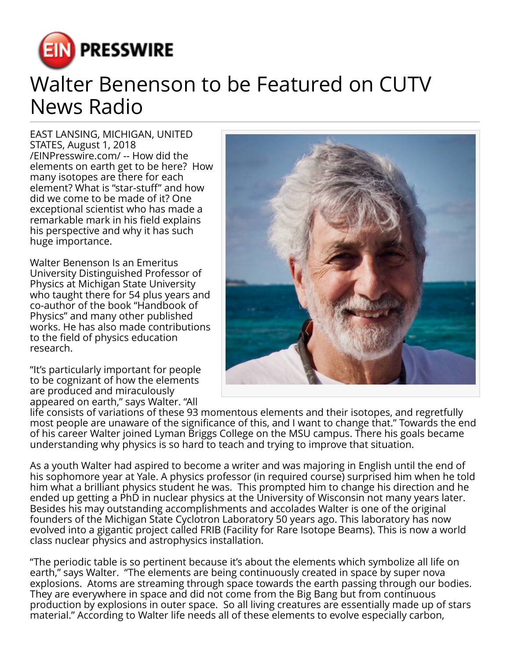

## Walter Benenson to be Featured on CUTV News Radio

EAST LANSING, MICHIGAN, UNITED STATES, August 1, 2018 [/EINPresswire.com/](http://www.einpresswire.com) -- How did the elements on earth get to be here? How many isotopes are there for each element? What is "star-stuff" and how did we come to be made of it? One exceptional scientist who has made a remarkable mark in his field explains his perspective and why it has such huge importance.

Walter Benenson Is an Emeritus University Distinguished Professor of Physics at Michigan State University who taught there for 54 plus years and co-author of the book "Handbook of Physics" and many other published works. He has also made contributions to the field of physics education research.

"It's particularly important for people to be cognizant of how the elements are produced and miraculously appeared on earth," says Walter. "All



life consists of variations of these 93 momentous elements and their isotopes, and regretfully most people are unaware of the significance of this, and I want to change that." Towards the end of his career Walter joined Lyman Briggs College on the MSU campus. There his goals became understanding why physics is so hard to teach and trying to improve that situation.

As a youth Walter had aspired to become a writer and was majoring in English until the end of his sophomore year at Yale. A physics professor (in required course) surprised him when he told him what a brilliant physics student he was. This prompted him to change his direction and he ended up getting a PhD in nuclear physics at the University of Wisconsin not many years later. Besides his may outstanding accomplishments and accolades Walter is one of the original founders of the Michigan State Cyclotron Laboratory 50 years ago. This laboratory has now evolved into a gigantic project called FRIB (Facility for Rare Isotope Beams). This is now a world class nuclear physics and astrophysics installation.

"The periodic table is so pertinent because it's about the elements which symbolize all life on earth," says Walter. "The elements are being continuously created in space by super nova explosions. Atoms are streaming through space towards the earth passing through our bodies. They are everywhere in space and did not come from the Big Bang but from continuous production by explosions in outer space. So all living creatures are essentially made up of stars material." According to Walter life needs all of these elements to evolve especially carbon,